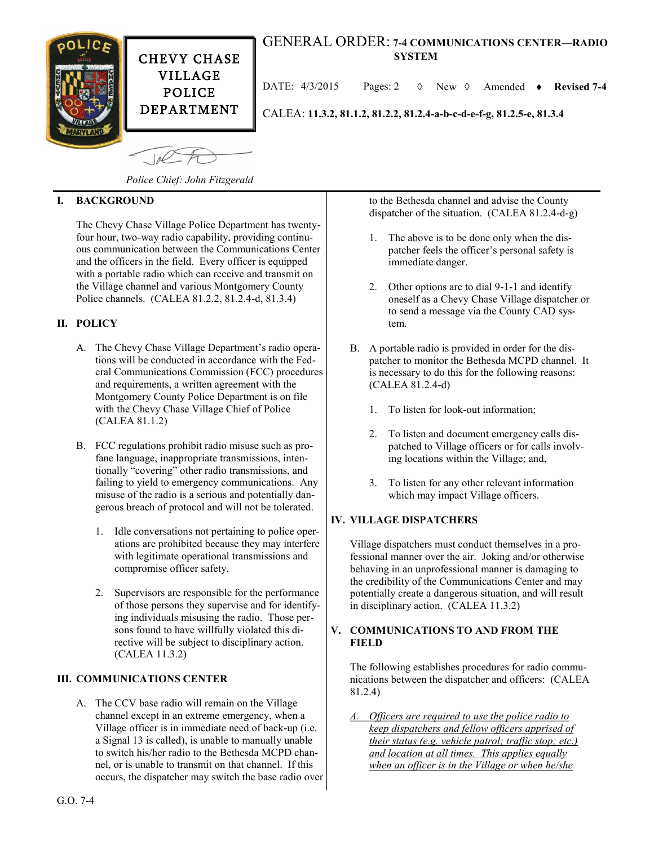

# GENERAL ORDER: **7-4 COMMUNICATIONS CENTER—RADIO SYSTEM**

DATE: 4/3/2015 Pages: 2 New Amended **Revised 7-4**

CALEA: **11.3.2, 81.1.2, 81.2.2, 81.2.4-a-b-c-d-e-f-g, 81.2.5-e, 81.3.4**

 $10<sup>o</sup>$ 

*Police Chief: John Fitzgerald*

### **I. BACKGROUND**

The Chevy Chase Village Police Department has twentyfour hour, two-way radio capability, providing continuous communication between the Communications Center and the officers in the field. Every officer is equipped with a portable radio which can receive and transmit on the Village channel and various Montgomery County Police channels. (CALEA 81.2.2, 81.2.4-d, 81.3.4)

## **II. POLICY**

- A. The Chevy Chase Village Department's radio operations will be conducted in accordance with the Federal Communications Commission (FCC) procedures and requirements, a written agreement with the Montgomery County Police Department is on file with the Chevy Chase Village Chief of Police (CALEA 81.1.2)
- B. FCC regulations prohibit radio misuse such as profane language, inappropriate transmissions, intentionally "covering" other radio transmissions, and failing to yield to emergency communications. Any misuse of the radio is a serious and potentially dangerous breach of protocol and will not be tolerated.
	- 1. Idle conversations not pertaining to police operations are prohibited because they may interfere with legitimate operational transmissions and compromise officer safety.
	- 2. Supervisors are responsible for the performance of those persons they supervise and for identifying individuals misusing the radio. Those persons found to have willfully violated this directive will be subject to disciplinary action. (CALEA 11.3.2)

#### **III. COMMUNICATIONS CENTER**

A. The CCV base radio will remain on the Village channel except in an extreme emergency, when a Village officer is in immediate need of back-up (i.e. a Signal 13 is called), is unable to manually unable to switch his/her radio to the Bethesda MCPD channel, or is unable to transmit on that channel. If this occurs, the dispatcher may switch the base radio over to the Bethesda channel and advise the County dispatcher of the situation. (CALEA 81.2.4-d-g)

- 1. The above is to be done only when the dispatcher feels the officer's personal safety is immediate danger.
- 2. Other options are to dial 9-1-1 and identify oneself as a Chevy Chase Village dispatcher or to send a message via the County CAD system.
- B. A portable radio is provided in order for the dispatcher to monitor the Bethesda MCPD channel. It is necessary to do this for the following reasons: (CALEA 81.2.4-d)
	- 1. To listen for look-out information;
	- 2. To listen and document emergency calls dispatched to Village officers or for calls involving locations within the Village; and,
	- 3. To listen for any other relevant information which may impact Village officers.

#### **IV. VILLAGE DISPATCHERS**

Village dispatchers must conduct themselves in a professional manner over the air. Joking and/or otherwise behaving in an unprofessional manner is damaging to the credibility of the Communications Center and may potentially create a dangerous situation, and will result in disciplinary action. (CALEA 11.3.2)

#### **V. COMMUNICATIONS TO AND FROM THE FIELD**

The following establishes procedures for radio communications between the dispatcher and officers: (CALEA 81.2.4)

*A. Officers are required to use the police radio to keep dispatchers and fellow officers apprised of their status (e.g. vehicle patrol; traffic stop; etc.) and location at all times. This applies equally when an officer is in the Village or when he/she*